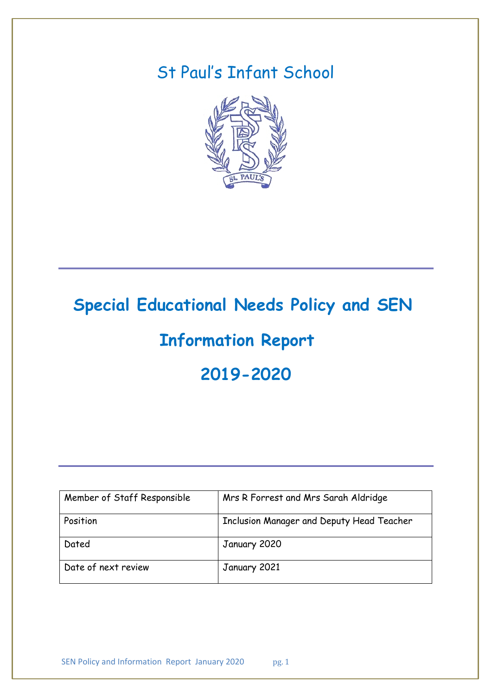# St Paul's Infant School



# **Special Educational Needs Policy and SEN**

# **Information Report**

# **2019-2020**

| Member of Staff Responsible | Mrs R Forrest and Mrs Sarah Aldridge      |
|-----------------------------|-------------------------------------------|
| Position                    | Inclusion Manager and Deputy Head Teacher |
| Dated                       | January 2020                              |
| Date of next review         | January 2021                              |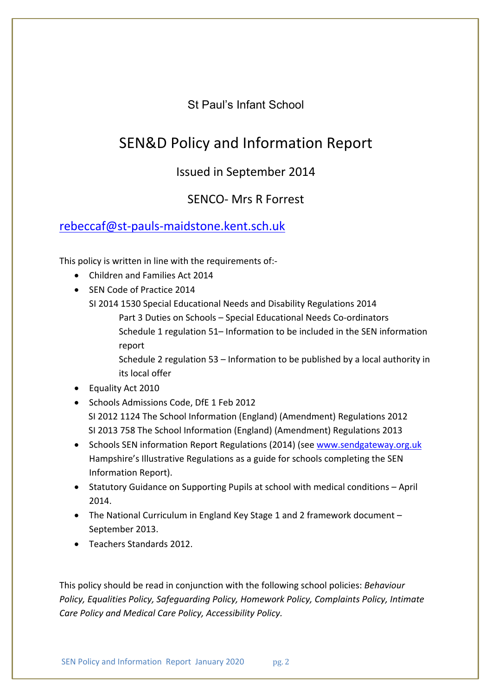St Paul's Infant School

# SEN&D Policy and Information Report

# Issued in September 2014

# SENCO- Mrs R Forrest

# rebeccaf@st-pauls-maidstone.kent.sch.uk

This policy is written in line with the requirements of:-

- Children and Families Act 2014
- SEN Code of Practice 2014
	- SI 2014 1530 Special Educational Needs and Disability Regulations 2014
		- Part 3 Duties on Schools Special Educational Needs Co-ordinators Schedule 1 regulation 51– Information to be included in the SEN information report
		- Schedule 2 regulation 53 Information to be published by a local authority in its local offer
- Equality Act 2010
- Schools Admissions Code, DfE 1 Feb 2012 SI 2012 1124 The School Information (England) (Amendment) Regulations 2012 SI 2013 758 The School Information (England) (Amendment) Regulations 2013
- Schools SEN information Report Regulations (2014) (see www.sendgateway.org.uk Hampshire's Illustrative Regulations as a guide for schools completing the SEN Information Report).
- Statutory Guidance on Supporting Pupils at school with medical conditions April 2014.
- The National Curriculum in England Key Stage 1 and 2 framework document September 2013.
- Teachers Standards 2012.

This policy should be read in conjunction with the following school policies: *Behaviour Policy, Equalities Policy, Safeguarding Policy, Homework Policy, Complaints Policy, Intimate Care Policy and Medical Care Policy, Accessibility Policy.*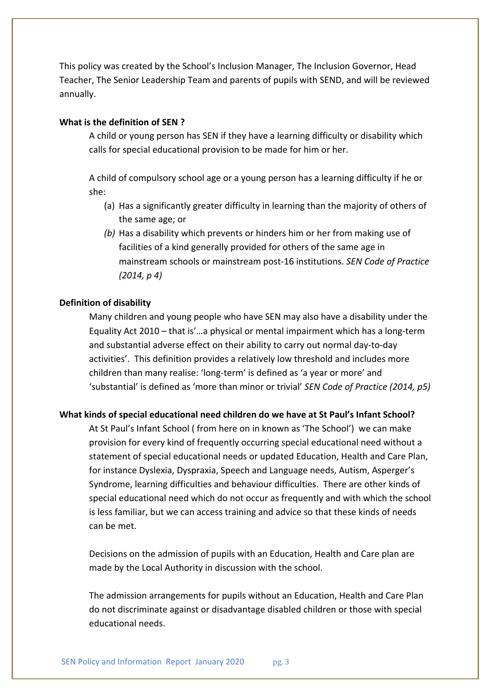This policy was created by the School's Inclusion Manager, The Inclusion Governor, Head Teacher, The Senior Leadership Team and parents of pupils with SEND, and will be reviewed annually.

#### **What is the definition of SEN ?**

A child or young person has SEN if they have a learning difficulty or disability which calls for special educational provision to be made for him or her.

A child of compulsory school age or a young person has a learning difficulty if he or she:

- (a) Has a significantly greater difficulty in learning than the majority of others of the same age; or
- *(b)* Has a disability which prevents or hinders him or her from making use of facilities of a kind generally provided for others of the same age in mainstream schools or mainstream post-16 institutions. *SEN Code of Practice (2014, p 4)*

#### **Definition of disability**

Many children and young people who have SEN may also have a disability under the Equality Act 2010 – that is'…a physical or mental impairment which has a long-term and substantial adverse effect on their ability to carry out normal day-to-day activities'. This definition provides a relatively low threshold and includes more children than many realise: 'long-term' is defined as 'a year or more' and 'substantial' is defined as 'more than minor or trivial' *SEN Code of Practice (2014, p5)*

#### **What kinds of special educational need children do we have at St Paul's Infant School?**

At St Paul's Infant School ( from here on in known as 'The School') we can make provision for every kind of frequently occurring special educational need without a statement of special educational needs or updated Education, Health and Care Plan, for instance Dyslexia, Dyspraxia, Speech and Language needs, Autism, Asperger's Syndrome, learning difficulties and behaviour difficulties. There are other kinds of special educational need which do not occur as frequently and with which the school is less familiar, but we can access training and advice so that these kinds of needs can be met.

Decisions on the admission of pupils with an Education, Health and Care plan are made by the Local Authority in discussion with the school.

The admission arrangements for pupils without an Education, Health and Care Plan do not discriminate against or disadvantage disabled children or those with special educational needs.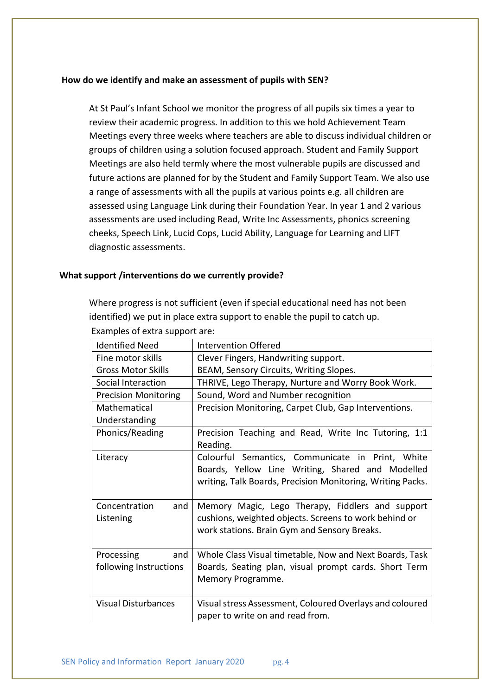#### **How do we identify and make an assessment of pupils with SEN?**

At St Paul's Infant School we monitor the progress of all pupils six times a year to review their academic progress. In addition to this we hold Achievement Team Meetings every three weeks where teachers are able to discuss individual children or groups of children using a solution focused approach. Student and Family Support Meetings are also held termly where the most vulnerable pupils are discussed and future actions are planned for by the Student and Family Support Team. We also use a range of assessments with all the pupils at various points e.g. all children are assessed using Language Link during their Foundation Year. In year 1 and 2 various assessments are used including Read, Write Inc Assessments, phonics screening cheeks, Speech Link, Lucid Cops, Lucid Ability, Language for Learning and LIFT diagnostic assessments.

#### **What support /interventions do we currently provide?**

Where progress is not sufficient (even if special educational need has not been identified) we put in place extra support to enable the pupil to catch up. Examples of extra support are:

| <b>Identified Need</b>                      | Intervention Offered                                                                                                                                               |
|---------------------------------------------|--------------------------------------------------------------------------------------------------------------------------------------------------------------------|
| Fine motor skills                           | Clever Fingers, Handwriting support.                                                                                                                               |
| <b>Gross Motor Skills</b>                   | BEAM, Sensory Circuits, Writing Slopes.                                                                                                                            |
| Social Interaction                          | THRIVE, Lego Therapy, Nurture and Worry Book Work.                                                                                                                 |
| <b>Precision Monitoring</b>                 | Sound, Word and Number recognition                                                                                                                                 |
| Mathematical<br>Understanding               | Precision Monitoring, Carpet Club, Gap Interventions.                                                                                                              |
| Phonics/Reading                             | Precision Teaching and Read, Write Inc Tutoring, 1:1<br>Reading.                                                                                                   |
| Literacy                                    | Colourful Semantics, Communicate in Print, White<br>Boards, Yellow Line Writing, Shared and Modelled<br>writing, Talk Boards, Precision Monitoring, Writing Packs. |
| and<br>Concentration<br>Listening           | Memory Magic, Lego Therapy, Fiddlers and support<br>cushions, weighted objects. Screens to work behind or<br>work stations. Brain Gym and Sensory Breaks.          |
| and<br>Processing<br>following Instructions | Whole Class Visual timetable, Now and Next Boards, Task<br>Boards, Seating plan, visual prompt cards. Short Term<br>Memory Programme.                              |
| <b>Visual Disturbances</b>                  | Visual stress Assessment, Coloured Overlays and coloured<br>paper to write on and read from.                                                                       |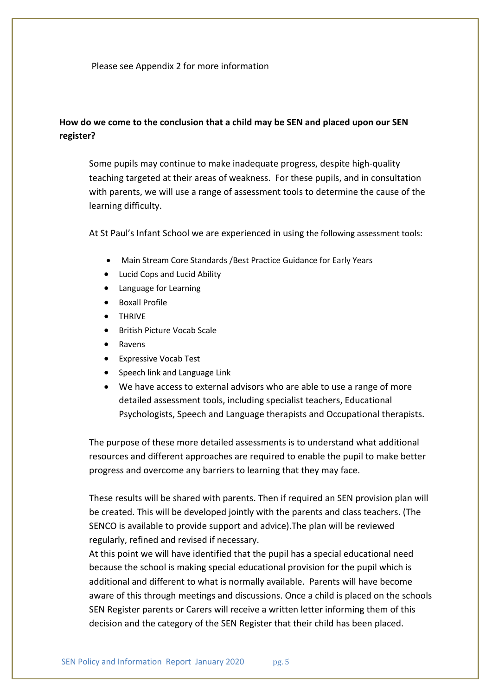Please see Appendix 2 for more information

## **How do we come to the conclusion that a child may be SEN and placed upon our SEN register?**

Some pupils may continue to make inadequate progress, despite high-quality teaching targeted at their areas of weakness. For these pupils, and in consultation with parents, we will use a range of assessment tools to determine the cause of the learning difficulty.

At St Paul's Infant School we are experienced in using the following assessment tools:

- Main Stream Core Standards /Best Practice Guidance for Early Years
- Lucid Cops and Lucid Ability
- Language for Learning
- Boxall Profile
- THRIVE
- British Picture Vocab Scale
- Ravens
- Expressive Vocab Test
- Speech link and Language Link
- We have access to external advisors who are able to use a range of more detailed assessment tools, including specialist teachers, Educational Psychologists, Speech and Language therapists and Occupational therapists.

The purpose of these more detailed assessments is to understand what additional resources and different approaches are required to enable the pupil to make better progress and overcome any barriers to learning that they may face.

These results will be shared with parents. Then if required an SEN provision plan will be created. This will be developed jointly with the parents and class teachers. (The SENCO is available to provide support and advice).The plan will be reviewed regularly, refined and revised if necessary.

At this point we will have identified that the pupil has a special educational need because the school is making special educational provision for the pupil which is additional and different to what is normally available. Parents will have become aware of this through meetings and discussions. Once a child is placed on the schools SEN Register parents or Carers will receive a written letter informing them of this decision and the category of the SEN Register that their child has been placed.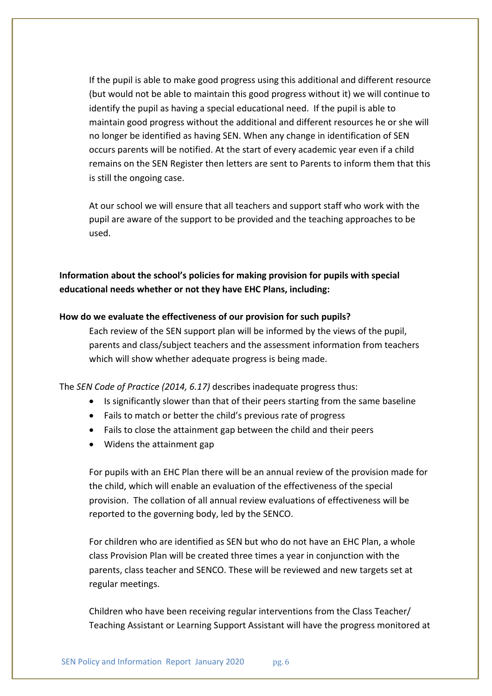If the pupil is able to make good progress using this additional and different resource (but would not be able to maintain this good progress without it) we will continue to identify the pupil as having a special educational need. If the pupil is able to maintain good progress without the additional and different resources he or she will no longer be identified as having SEN. When any change in identification of SEN occurs parents will be notified. At the start of every academic year even if a child remains on the SEN Register then letters are sent to Parents to inform them that this is still the ongoing case.

At our school we will ensure that all teachers and support staff who work with the pupil are aware of the support to be provided and the teaching approaches to be used.

**Information about the school's policies for making provision for pupils with special educational needs whether or not they have EHC Plans, including:**

#### **How do we evaluate the effectiveness of our provision for such pupils?**

Each review of the SEN support plan will be informed by the views of the pupil, parents and class/subject teachers and the assessment information from teachers which will show whether adequate progress is being made.

The *SEN Code of Practice (2014, 6.17)* describes inadequate progress thus:

- Is significantly slower than that of their peers starting from the same baseline
- Fails to match or better the child's previous rate of progress
- Fails to close the attainment gap between the child and their peers
- Widens the attainment gap

For pupils with an EHC Plan there will be an annual review of the provision made for the child, which will enable an evaluation of the effectiveness of the special provision. The collation of all annual review evaluations of effectiveness will be reported to the governing body, led by the SENCO.

For children who are identified as SEN but who do not have an EHC Plan, a whole class Provision Plan will be created three times a year in conjunction with the parents, class teacher and SENCO. These will be reviewed and new targets set at regular meetings.

Children who have been receiving regular interventions from the Class Teacher/ Teaching Assistant or Learning Support Assistant will have the progress monitored at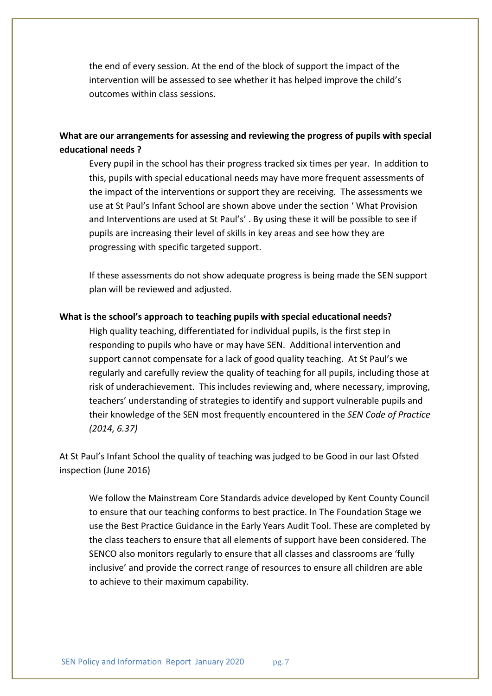the end of every session. At the end of the block of support the impact of the intervention will be assessed to see whether it has helped improve the child's outcomes within class sessions.

## **What are our arrangements for assessing and reviewing the progress of pupils with special educational needs ?**

Every pupil in the school has their progress tracked six times per year. In addition to this, pupils with special educational needs may have more frequent assessments of the impact of the interventions or support they are receiving. The assessments we use at St Paul's Infant School are shown above under the section ' What Provision and Interventions are used at St Paul's' . By using these it will be possible to see if pupils are increasing their level of skills in key areas and see how they are progressing with specific targeted support.

If these assessments do not show adequate progress is being made the SEN support plan will be reviewed and adjusted.

#### **What is the school's approach to teaching pupils with special educational needs?**

High quality teaching, differentiated for individual pupils, is the first step in responding to pupils who have or may have SEN. Additional intervention and support cannot compensate for a lack of good quality teaching. At St Paul's we regularly and carefully review the quality of teaching for all pupils, including those at risk of underachievement. This includes reviewing and, where necessary, improving, teachers' understanding of strategies to identify and support vulnerable pupils and their knowledge of the SEN most frequently encountered in the *SEN Code of Practice (2014, 6.37)*

At St Paul's Infant School the quality of teaching was judged to be Good in our last Ofsted inspection (June 2016)

We follow the Mainstream Core Standards advice developed by Kent County Council to ensure that our teaching conforms to best practice. In The Foundation Stage we use the Best Practice Guidance in the Early Years Audit Tool. These are completed by the class teachers to ensure that all elements of support have been considered. The SENCO also monitors regularly to ensure that all classes and classrooms are 'fully inclusive' and provide the correct range of resources to ensure all children are able to achieve to their maximum capability.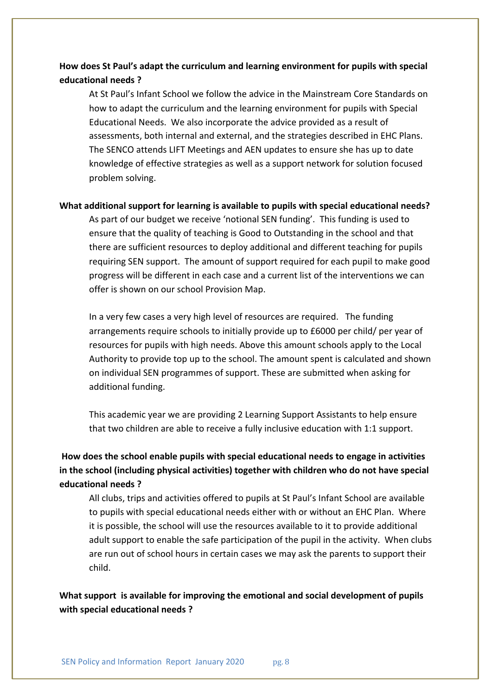## **How does St Paul's adapt the curriculum and learning environment for pupils with special educational needs ?**

At St Paul's Infant School we follow the advice in the Mainstream Core Standards on how to adapt the curriculum and the learning environment for pupils with Special Educational Needs. We also incorporate the advice provided as a result of assessments, both internal and external, and the strategies described in EHC Plans. The SENCO attends LIFT Meetings and AEN updates to ensure she has up to date knowledge of effective strategies as well as a support network for solution focused problem solving.

#### **What additional support for learning is available to pupils with special educational needs?**

As part of our budget we receive 'notional SEN funding'. This funding is used to ensure that the quality of teaching is Good to Outstanding in the school and that there are sufficient resources to deploy additional and different teaching for pupils requiring SEN support. The amount of support required for each pupil to make good progress will be different in each case and a current list of the interventions we can offer is shown on our school Provision Map.

In a very few cases a very high level of resources are required. The funding arrangements require schools to initially provide up to £6000 per child/ per year of resources for pupils with high needs. Above this amount schools apply to the Local Authority to provide top up to the school. The amount spent is calculated and shown on individual SEN programmes of support. These are submitted when asking for additional funding.

This academic year we are providing 2 Learning Support Assistants to help ensure that two children are able to receive a fully inclusive education with 1:1 support.

**How does the school enable pupils with special educational needs to engage in activities in the school (including physical activities) together with children who do not have special educational needs ?**

All clubs, trips and activities offered to pupils at St Paul's Infant School are available to pupils with special educational needs either with or without an EHC Plan. Where it is possible, the school will use the resources available to it to provide additional adult support to enable the safe participation of the pupil in the activity. When clubs are run out of school hours in certain cases we may ask the parents to support their child.

**What support is available for improving the emotional and social development of pupils with special educational needs ?**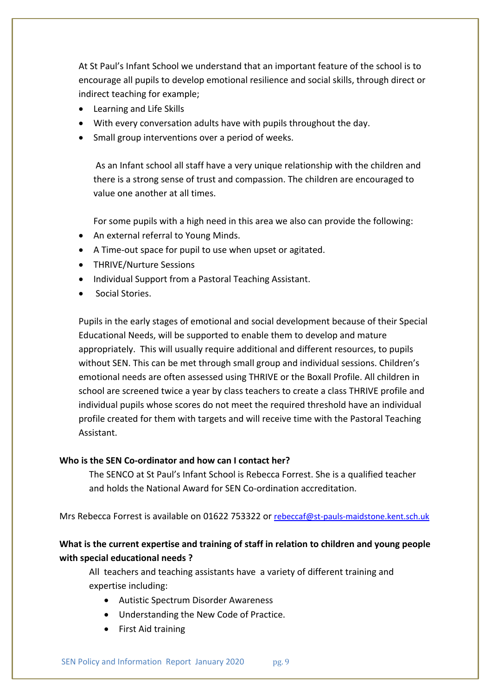At St Paul's Infant School we understand that an important feature of the school is to encourage all pupils to develop emotional resilience and social skills, through direct or indirect teaching for example;

- Learning and Life Skills
- With every conversation adults have with pupils throughout the day.
- Small group interventions over a period of weeks.

As an Infant school all staff have a very unique relationship with the children and there is a strong sense of trust and compassion. The children are encouraged to value one another at all times.

For some pupils with a high need in this area we also can provide the following:

- An external referral to Young Minds.
- A Time-out space for pupil to use when upset or agitated.
- THRIVE/Nurture Sessions
- Individual Support from a Pastoral Teaching Assistant.
- Social Stories.

Pupils in the early stages of emotional and social development because of their Special Educational Needs, will be supported to enable them to develop and mature appropriately. This will usually require additional and different resources, to pupils without SEN. This can be met through small group and individual sessions. Children's emotional needs are often assessed using THRIVE or the Boxall Profile. All children in school are screened twice a year by class teachers to create a class THRIVE profile and individual pupils whose scores do not meet the required threshold have an individual profile created for them with targets and will receive time with the Pastoral Teaching Assistant.

#### **Who is the SEN Co-ordinator and how can I contact her?**

The SENCO at St Paul's Infant School is Rebecca Forrest. She is a qualified teacher and holds the National Award for SEN Co-ordination accreditation.

Mrs Rebecca Forrest is available on 01622 753322 or rebeccaf@st-pauls-maidstone.kent.sch.uk

### **What is the current expertise and training of staff in relation to children and young people with special educational needs ?**

All teachers and teaching assistants have a variety of different training and expertise including:

- Autistic Spectrum Disorder Awareness
- Understanding the New Code of Practice.
- First Aid training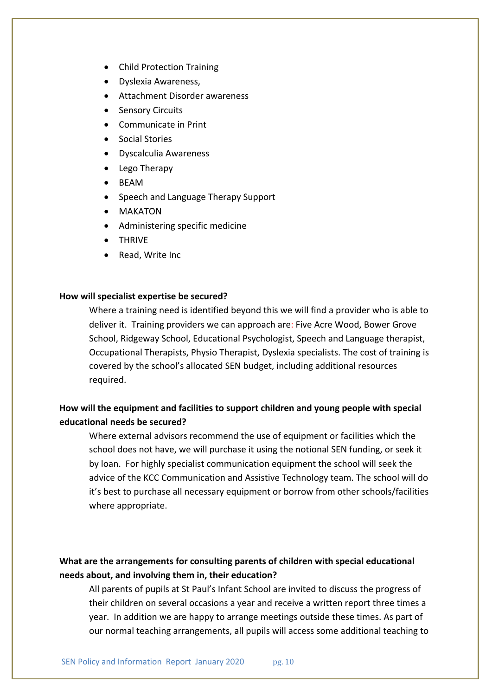- Child Protection Training
- Dyslexia Awareness,
- Attachment Disorder awareness
- Sensory Circuits
- Communicate in Print
- Social Stories
- Dyscalculia Awareness
- Lego Therapy
- BEAM
- Speech and Language Therapy Support
- MAKATON
- Administering specific medicine
- THRIVE
- Read, Write Inc

#### **How will specialist expertise be secured?**

Where a training need is identified beyond this we will find a provider who is able to deliver it. Training providers we can approach are: Five Acre Wood, Bower Grove School, Ridgeway School, Educational Psychologist, Speech and Language therapist, Occupational Therapists, Physio Therapist, Dyslexia specialists. The cost of training is covered by the school's allocated SEN budget, including additional resources required.

## **How will the equipment and facilities to support children and young people with special educational needs be secured?**

Where external advisors recommend the use of equipment or facilities which the school does not have, we will purchase it using the notional SEN funding, or seek it by loan. For highly specialist communication equipment the school will seek the advice of the KCC Communication and Assistive Technology team. The school will do it's best to purchase all necessary equipment or borrow from other schools/facilities where appropriate.

### **What are the arrangements for consulting parents of children with special educational needs about, and involving them in, their education?**

All parents of pupils at St Paul's Infant School are invited to discuss the progress of their children on several occasions a year and receive a written report three times a year. In addition we are happy to arrange meetings outside these times. As part of our normal teaching arrangements, all pupils will access some additional teaching to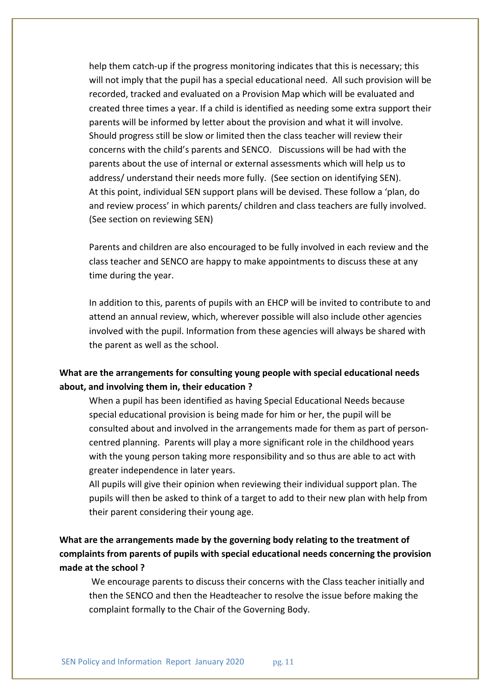help them catch-up if the progress monitoring indicates that this is necessary; this will not imply that the pupil has a special educational need. All such provision will be recorded, tracked and evaluated on a Provision Map which will be evaluated and created three times a year. If a child is identified as needing some extra support their parents will be informed by letter about the provision and what it will involve. Should progress still be slow or limited then the class teacher will review their concerns with the child's parents and SENCO. Discussions will be had with the parents about the use of internal or external assessments which will help us to address/ understand their needs more fully. (See section on identifying SEN). At this point, individual SEN support plans will be devised. These follow a 'plan, do and review process' in which parents/ children and class teachers are fully involved. (See section on reviewing SEN)

Parents and children are also encouraged to be fully involved in each review and the class teacher and SENCO are happy to make appointments to discuss these at any time during the year.

In addition to this, parents of pupils with an EHCP will be invited to contribute to and attend an annual review, which, wherever possible will also include other agencies involved with the pupil. Information from these agencies will always be shared with the parent as well as the school.

## **What are the arrangements for consulting young people with special educational needs about, and involving them in, their education ?**

When a pupil has been identified as having Special Educational Needs because special educational provision is being made for him or her, the pupil will be consulted about and involved in the arrangements made for them as part of personcentred planning. Parents will play a more significant role in the childhood years with the young person taking more responsibility and so thus are able to act with greater independence in later years.

All pupils will give their opinion when reviewing their individual support plan. The pupils will then be asked to think of a target to add to their new plan with help from their parent considering their young age.

**What are the arrangements made by the governing body relating to the treatment of complaints from parents of pupils with special educational needs concerning the provision made at the school ?**

We encourage parents to discuss their concerns with the Class teacher initially and then the SENCO and then the Headteacher to resolve the issue before making the complaint formally to the Chair of the Governing Body.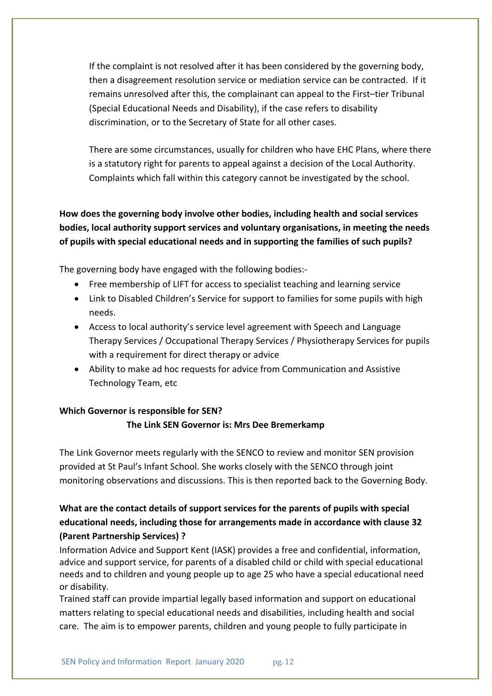If the complaint is not resolved after it has been considered by the governing body, then a disagreement resolution service or mediation service can be contracted. If it remains unresolved after this, the complainant can appeal to the First–tier Tribunal (Special Educational Needs and Disability), if the case refers to disability discrimination, or to the Secretary of State for all other cases.

There are some circumstances, usually for children who have EHC Plans, where there is a statutory right for parents to appeal against a decision of the Local Authority. Complaints which fall within this category cannot be investigated by the school.

**How does the governing body involve other bodies, including health and social services bodies, local authority support services and voluntary organisations, in meeting the needs of pupils with special educational needs and in supporting the families of such pupils?**

The governing body have engaged with the following bodies:-

- Free membership of LIFT for access to specialist teaching and learning service
- Link to Disabled Children's Service for support to families for some pupils with high needs.
- Access to local authority's service level agreement with Speech and Language Therapy Services / Occupational Therapy Services / Physiotherapy Services for pupils with a requirement for direct therapy or advice
- Ability to make ad hoc requests for advice from Communication and Assistive Technology Team, etc

#### **Which Governor is responsible for SEN?**

#### **The Link SEN Governor is: Mrs Dee Bremerkamp**

The Link Governor meets regularly with the SENCO to review and monitor SEN provision provided at St Paul's Infant School. She works closely with the SENCO through joint monitoring observations and discussions. This is then reported back to the Governing Body.

# **What are the contact details of support services for the parents of pupils with special educational needs, including those for arrangements made in accordance with clause 32 (Parent Partnership Services) ?**

Information Advice and Support Kent (IASK) provides a free and confidential, information, advice and support service, for parents of a disabled child or child with special educational needs and to children and young people up to age 25 who have a special educational need or disability.

Trained staff can provide impartial legally based information and support on educational matters relating to special educational needs and disabilities, including health and social care. The aim is to empower parents, children and young people to fully participate in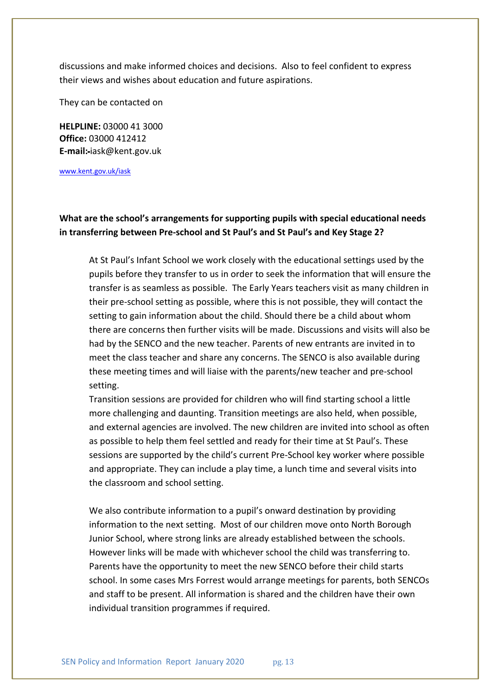discussions and make informed choices and decisions. Also to feel confident to express their views and wishes about education and future aspirations.

They can be contacted on

**HELPLINE:** 03000 41 3000 **Office:** 03000 412412 **E-mail:** iask@kent.gov.uk

www.kent.gov.uk/iask

# **What are the school's arrangements for supporting pupils with special educational needs in transferring between Pre-school and St Paul's and St Paul's and Key Stage 2?**

At St Paul's Infant School we work closely with the educational settings used by the pupils before they transfer to us in order to seek the information that will ensure the transfer is as seamless as possible. The Early Years teachers visit as many children in their pre-school setting as possible, where this is not possible, they will contact the setting to gain information about the child. Should there be a child about whom there are concerns then further visits will be made. Discussions and visits will also be had by the SENCO and the new teacher. Parents of new entrants are invited in to meet the class teacher and share any concerns. The SENCO is also available during these meeting times and will liaise with the parents/new teacher and pre-school setting.

Transition sessions are provided for children who will find starting school a little more challenging and daunting. Transition meetings are also held, when possible, and external agencies are involved. The new children are invited into school as often as possible to help them feel settled and ready for their time at St Paul's. These sessions are supported by the child's current Pre-School key worker where possible and appropriate. They can include a play time, a lunch time and several visits into the classroom and school setting.

We also contribute information to a pupil's onward destination by providing information to the next setting. Most of our children move onto North Borough Junior School, where strong links are already established between the schools. However links will be made with whichever school the child was transferring to. Parents have the opportunity to meet the new SENCO before their child starts school. In some cases Mrs Forrest would arrange meetings for parents, both SENCOs and staff to be present. All information is shared and the children have their own individual transition programmes if required.